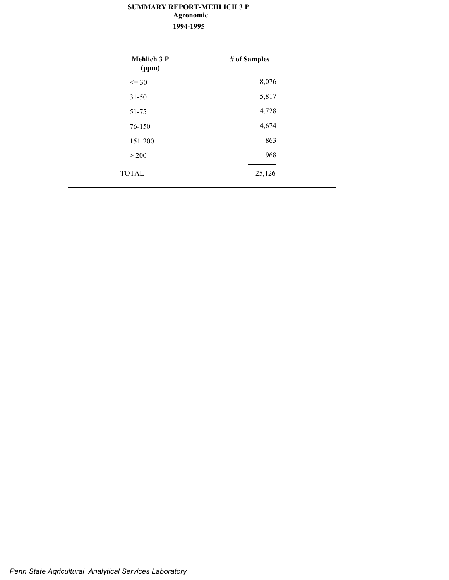#### **SUMMARY REPORT-MEHLICH 3 P 1994-1995 Agronomic**

| <b>Mehlich 3 P</b><br>(ppm) | # of Samples |
|-----------------------------|--------------|
| $\leq$ 30                   | 8,076        |
| $31 - 50$                   | 5,817        |
| 51-75                       | 4,728        |
| 76-150                      | 4,674        |
| 151-200                     | 863          |
| > 200                       | 968          |
| <b>TOTAL</b>                | 25,126       |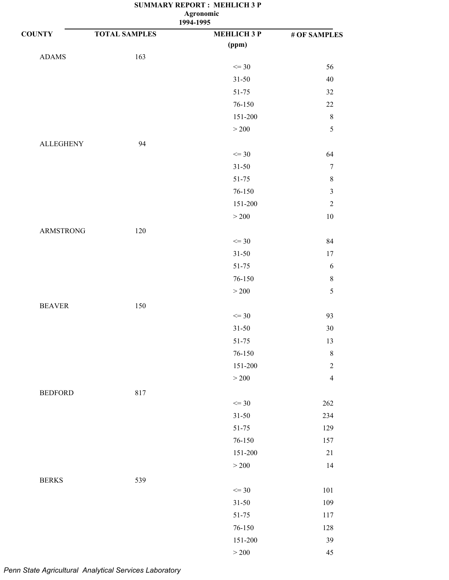**Agronomic**

|                  |                      | 1994-1995          |                  |
|------------------|----------------------|--------------------|------------------|
| <b>COUNTY</b>    | <b>TOTAL SAMPLES</b> | <b>MEHLICH 3 P</b> | # OF SAMPLES     |
|                  |                      | (ppm)              |                  |
| <b>ADAMS</b>     | 163                  |                    |                  |
|                  |                      | $\leq$ 30          | 56               |
|                  |                      | $31 - 50$          | $40\,$           |
|                  |                      | 51-75              | $32\,$           |
|                  |                      | 76-150             | $22\,$           |
|                  |                      | 151-200            | $\,8\,$          |
|                  |                      | $>200$             | 5                |
| <b>ALLEGHENY</b> | 94                   |                    |                  |
|                  |                      | $\leq$ 30          | 64               |
|                  |                      | $31 - 50$          | $\tau$           |
|                  |                      | 51-75              | $\,$ 8 $\,$      |
|                  |                      | 76-150             | $\mathfrak{Z}$   |
|                  |                      | 151-200            | $\sqrt{2}$       |
|                  |                      | $>200$             | $10\,$           |
| ARMSTRONG        | 120                  |                    |                  |
|                  |                      | $\leq$ 30          | 84               |
|                  |                      | $31 - 50$          | 17               |
|                  |                      | 51-75              | $\sqrt{6}$       |
|                  |                      | 76-150             | $8\,$            |
|                  |                      | $>200$             | 5                |
| <b>BEAVER</b>    | 150                  |                    |                  |
|                  |                      | $\leq$ 30          | 93               |
|                  |                      | $31 - 50$          | $30\,$           |
|                  |                      | 51-75              | 13               |
|                  |                      | $76 - 150$         | $\,8\,$          |
|                  |                      | 151-200            | $\boldsymbol{2}$ |
|                  |                      | $>200$             | $\overline{4}$   |
| <b>BEDFORD</b>   | 817                  |                    |                  |
|                  |                      | $\leq$ 30          | 262              |
|                  |                      | $31 - 50$          | 234              |
|                  |                      | 51-75              | 129              |
|                  |                      | 76-150             | 157              |
|                  |                      | 151-200            | $21\,$           |
|                  |                      | $>200$             | 14               |
|                  |                      |                    |                  |
| <b>BERKS</b>     | 539                  | $\leq$ 30          | 101              |
|                  |                      | $31 - 50$          | 109              |
|                  |                      | 51-75              | 117              |
|                  |                      | 76-150             | 128              |
|                  |                      | 151-200            | 39               |
|                  |                      | $>200\,$           | 45               |
|                  |                      |                    |                  |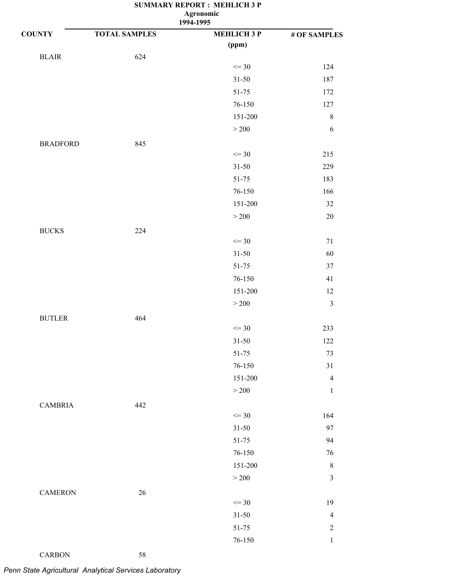**Agronomic**

|                 |                      | 1994-1995          |                |
|-----------------|----------------------|--------------------|----------------|
| <b>COUNTY</b>   | <b>TOTAL SAMPLES</b> | <b>MEHLICH 3 P</b> | # OF SAMPLES   |
|                 |                      | (ppm)              |                |
| $BLAIR$         | 624                  |                    |                |
|                 |                      | $\leq$ 30          | 124            |
|                 |                      | $31 - 50$          | 187            |
|                 |                      | 51-75              | 172            |
|                 |                      | 76-150             | 127            |
|                 |                      | 151-200            | $\,$ 8 $\,$    |
|                 |                      | $>200$             | 6              |
| <b>BRADFORD</b> | 845                  |                    |                |
|                 |                      | $\leq$ 30          | 215            |
|                 |                      | $31 - 50$          | 229            |
|                 |                      | 51-75              | 183            |
|                 |                      | 76-150             | 166            |
|                 |                      | 151-200            | $32\,$         |
|                 |                      | $>200$             | $20\,$         |
| <b>BUCKS</b>    | 224                  |                    |                |
|                 |                      | $\leq$ 30          | $71\,$         |
|                 |                      | $31 - 50$          | 60             |
|                 |                      | 51-75              | $37\,$         |
|                 |                      | 76-150             | 41             |
|                 |                      | 151-200            | 12             |
|                 |                      | $>200$             | $\mathfrak{Z}$ |
| <b>BUTLER</b>   | 464                  |                    |                |
|                 |                      | $\leq$ 30          | 233            |
|                 |                      | $31 - 50$          | 122            |
|                 |                      | $51 - 75$          | 73             |
|                 |                      | $76 - 150$         | 31             |
|                 |                      | 151-200            | $\overline{4}$ |
|                 |                      | $>200$             | $\mathbf{1}$   |
| <b>CAMBRIA</b>  | 442                  |                    |                |
|                 |                      | $\leq$ 30          | 164            |
|                 |                      | $31 - 50$          | 97             |
|                 |                      | 51-75              | 94             |
|                 |                      | $76 - 150$         | 76             |
|                 |                      | 151-200            | $\,8\,$        |
|                 |                      | $>200$             | $\mathfrak{Z}$ |
| <b>CAMERON</b>  | $26\,$               |                    |                |
|                 |                      | $\leq$ 30          | 19             |
|                 |                      | $31 - 50$          | $\overline{4}$ |
|                 |                      | $51 - 75$          | $\overline{c}$ |
|                 |                      | $76 - 150$         | $\mathbf{1}$   |

CARBON 58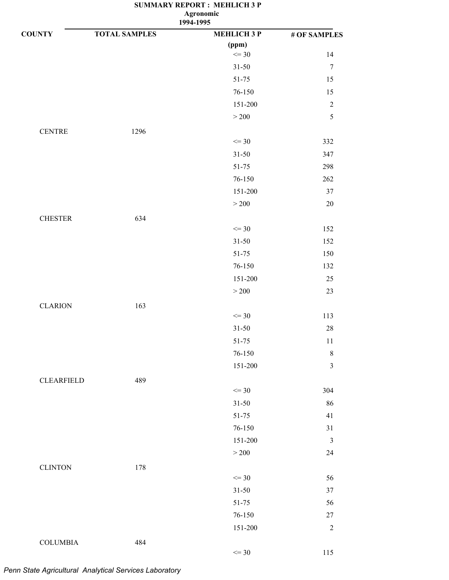**1994-1995**

| <b>COUNTY</b>     | <b>TOTAL SAMPLES</b> | <b>MEHLICH 3 P</b> | # OF SAMPLES   |
|-------------------|----------------------|--------------------|----------------|
|                   |                      | (ppm)              |                |
|                   |                      | $\leq$ 30          | 14             |
|                   |                      | $31 - 50$          | $\overline{7}$ |
|                   |                      | 51-75              | 15             |
|                   |                      | 76-150             | 15             |
|                   |                      | 151-200            | $\sqrt{2}$     |
|                   |                      | $>200$             | $\sqrt{5}$     |
| <b>CENTRE</b>     | 1296                 |                    |                |
|                   |                      | $\leq$ 30          | 332            |
|                   |                      | $31 - 50$          | 347            |
|                   |                      | 51-75              | 298            |
|                   |                      | $76 - 150$         | 262            |
|                   |                      | 151-200            | 37             |
|                   |                      | $>200$             | $20\,$         |
| <b>CHESTER</b>    | 634                  |                    |                |
|                   |                      | $\leq$ 30          | 152            |
|                   |                      | $31 - 50$          | 152            |
|                   |                      | 51-75              | 150            |
|                   |                      | 76-150             | 132            |
|                   |                      | 151-200            | $25\,$         |
|                   |                      | $>200$             | 23             |
| <b>CLARION</b>    | 163                  | $\leq$ 30          | 113            |
|                   |                      | $31 - 50$          | $28\,$         |
|                   |                      | $51 - 75$          | $11\,$         |
|                   |                      | 76-150             | $\,8\,$        |
|                   |                      | 151-200            | $\mathfrak{Z}$ |
| <b>CLEARFIELD</b> | 489                  |                    |                |
|                   |                      | $\leq$ 30          | 304            |
|                   |                      | $31 - 50$          | 86             |
|                   |                      | $51 - 75$          | 41             |
|                   |                      | 76-150             | $31\,$         |
|                   |                      | 151-200            | $\mathfrak{Z}$ |
|                   |                      | $>200$             | 24             |
| <b>CLINTON</b>    | 178                  |                    |                |
|                   |                      | $\leq$ 30          | 56             |
|                   |                      | $31 - 50$          | 37             |
|                   |                      | $51 - 75$          | 56             |
|                   |                      | 76-150             | $27\,$         |
|                   |                      | 151-200            | $\sqrt{2}$     |
| <b>COLUMBIA</b>   | 484                  |                    |                |
|                   |                      | $\leq$ 30          | 115            |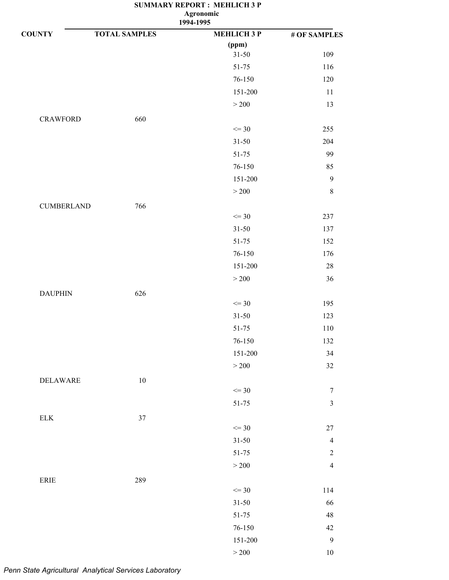**1994-1995 Agronomic**

| <b>COUNTY</b>                | <b>TOTAL SAMPLES</b> | <b>MEHLICH 3 P</b> | # OF SAMPLES            |
|------------------------------|----------------------|--------------------|-------------------------|
|                              |                      | (ppm)              |                         |
|                              |                      | $31 - 50$          | 109                     |
|                              |                      | 51-75              | 116                     |
|                              |                      | 76-150             | 120                     |
|                              |                      | 151-200            | 11                      |
|                              |                      | $>200$             | 13                      |
| <b>CRAWFORD</b>              | 660                  |                    |                         |
|                              |                      | $\leq$ 30          | 255                     |
|                              |                      | $31 - 50$          | 204                     |
|                              |                      | $51 - 75$          | 99                      |
|                              |                      | 76-150             | 85                      |
|                              |                      | 151-200            | $\boldsymbol{9}$        |
|                              |                      | $>200$             | $\,8\,$                 |
| <b>CUMBERLAND</b>            | 766                  |                    |                         |
|                              |                      | $\leq$ 30          | 237                     |
|                              |                      | $31 - 50$          | 137                     |
|                              |                      | 51-75              | 152                     |
|                              |                      | 76-150             | 176                     |
|                              |                      | 151-200            | $28\,$                  |
|                              |                      | $>200$             | 36                      |
| <b>DAUPHIN</b>               | 626                  |                    |                         |
|                              |                      | $\leq$ 30          | 195                     |
|                              |                      | $31 - 50$          | 123                     |
|                              |                      | $51 - 75$          | 110                     |
|                              |                      | 76-150             | 132                     |
|                              |                      | 151-200            | 34                      |
|                              |                      | $>200$             | 32                      |
| <b>DELAWARE</b>              | $10\,$               |                    |                         |
|                              |                      | $\leq$ 30          | $\boldsymbol{7}$        |
|                              |                      | $51 - 75$          | $\overline{\mathbf{3}}$ |
| ${\rm ELK}$                  | 37                   |                    |                         |
|                              |                      | $\leq$ 30          | $27\,$                  |
|                              |                      | $31 - 50$          | $\overline{4}$          |
|                              |                      | $51 - 75$          | $\sqrt{2}$              |
|                              |                      | $>200$             | $\overline{4}$          |
| $\ensuremath{\mathsf{ERIE}}$ | 289                  |                    |                         |
|                              |                      | $\leq$ 30          | 114                     |
|                              |                      | $31 - 50$          | 66                      |
|                              |                      | $51 - 75$          | $\sqrt{48}$             |
|                              |                      | $76 - 150$         | 42                      |
|                              |                      | $151 - 200$        | $\mathbf{9}$            |
|                              |                      | $>200\,$           | $10\,$                  |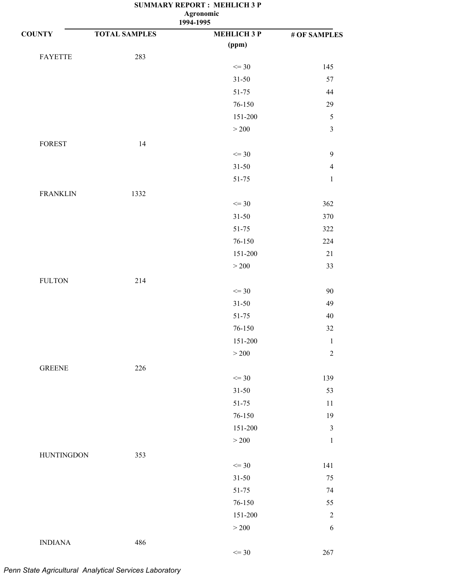**1994-1995**

| <b>COUNTY</b>     | <b>TOTAL SAMPLES</b> | --- ----<br><b>MEHLICH 3 P</b> | # OF SAMPLES     |
|-------------------|----------------------|--------------------------------|------------------|
|                   |                      | (ppm)                          |                  |
| <b>FAYETTE</b>    | 283                  |                                |                  |
|                   |                      | $\leq$ 30                      | 145              |
|                   |                      | $31 - 50$                      | 57               |
|                   |                      | $51 - 75$                      | 44               |
|                   |                      | 76-150                         | 29               |
|                   |                      | 151-200                        | $\sqrt{5}$       |
|                   |                      | $>200$                         | $\mathfrak{Z}$   |
| FOREST            | 14                   |                                |                  |
|                   |                      | $\leq$ 30                      | $\boldsymbol{9}$ |
|                   |                      | $31 - 50$                      | $\overline{4}$   |
|                   |                      | $51 - 75$                      | $\mathbf 1$      |
| <b>FRANKLIN</b>   | 1332                 |                                |                  |
|                   |                      | $\leq$ 30                      | 362              |
|                   |                      | $31 - 50$                      | 370              |
|                   |                      | $51 - 75$                      | 322              |
|                   |                      | 76-150                         | 224              |
|                   |                      | 151-200                        | $21\,$           |
|                   |                      | $>200$                         | 33               |
| <b>FULTON</b>     | 214                  |                                |                  |
|                   |                      | $\leq$ 30                      | $90\,$           |
|                   |                      | $31 - 50$                      | 49               |
|                   |                      | 51-75                          | $40\,$           |
|                   |                      | 76-150                         | 32               |
|                   |                      | 151-200                        | $\,1\,$          |
|                   |                      | >200                           | $\sqrt{2}$       |
| <b>GREENE</b>     | 226                  |                                |                  |
|                   |                      | $\leq$ 30                      | 139              |
|                   |                      | $31 - 50$                      | 53               |
|                   |                      | 51-75                          | 11               |
|                   |                      | 76-150                         | 19               |
|                   |                      | 151-200                        | $\mathfrak{Z}$   |
|                   |                      | $>200$                         | $\mathbf{1}$     |
| <b>HUNTINGDON</b> | 353                  |                                |                  |
|                   |                      | $\leq$ 30                      | 141              |
|                   |                      | $31 - 50$                      | $75\,$           |
|                   |                      | 51-75                          | 74               |
|                   |                      | $76 - 150$                     | 55               |
|                   |                      | 151-200                        | $\overline{2}$   |
|                   |                      | $>200$                         | 6                |
| <b>INDIANA</b>    | 486                  |                                |                  |
|                   |                      | $\leq$ 30                      | 267              |
|                   |                      |                                |                  |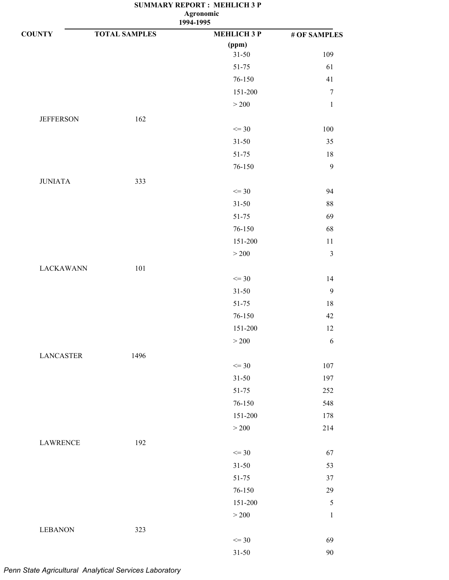**1994-1995**

| <b>COUNTY</b>    | <b>TOTAL SAMPLES</b> | <b>MEHLICH 3 P</b> | # OF SAMPLES     |
|------------------|----------------------|--------------------|------------------|
|                  |                      | (ppm)              |                  |
|                  |                      | $31 - 50$          | 109              |
|                  |                      | $51 - 75$          | 61               |
|                  |                      | 76-150             | 41               |
|                  |                      | 151-200            | $\boldsymbol{7}$ |
|                  |                      | $>200\,$           | $\mathbf{1}$     |
| <b>JEFFERSON</b> | 162                  |                    |                  |
|                  |                      | $\leq$ 30          | $100\,$          |
|                  |                      | $31 - 50$          | 35               |
|                  |                      | 51-75              | 18               |
|                  |                      | 76-150             | $\mathbf{9}$     |
| <b>JUNIATA</b>   | 333                  |                    |                  |
|                  |                      | $\leq$ 30          | 94               |
|                  |                      | $31 - 50$          | 88               |
|                  |                      | $51 - 75$          | 69               |
|                  |                      | 76-150             | 68               |
|                  |                      | 151-200            | $11\,$           |
|                  |                      | $>200\,$           | $\mathfrak{Z}$   |
| <b>LACKAWANN</b> | 101                  |                    |                  |
|                  |                      | $\leq$ 30          | 14               |
|                  |                      | $31 - 50$          | $\mathbf{9}$     |
|                  |                      | $51 - 75$          | $18\,$           |
|                  |                      | 76-150             | 42               |
|                  |                      | 151-200            | 12               |
|                  |                      | $>200$             | 6                |
| <b>LANCASTER</b> | 1496                 |                    |                  |
|                  |                      | $\leq$ 30          | 107              |
|                  |                      | $31 - 50$          | 197              |
|                  |                      | $51 - 75$          | 252              |
|                  |                      | 76-150             | 548              |
|                  |                      | 151-200            | 178              |
|                  |                      | $>200$             | 214              |
| <b>LAWRENCE</b>  | 192                  |                    |                  |
|                  |                      | $\leq$ 30          | 67               |
|                  |                      | $31 - 50$          | 53               |
|                  |                      | $51 - 75$          | 37               |
|                  |                      | 76-150             | 29               |
|                  |                      | 151-200            | $\sqrt{5}$       |
|                  |                      | $>200$             | $\mathbf 1$      |
| <b>LEBANON</b>   | 323                  |                    |                  |
|                  |                      | $\leq$ 30          | 69               |
|                  |                      | $31 - 50$          | $90\,$           |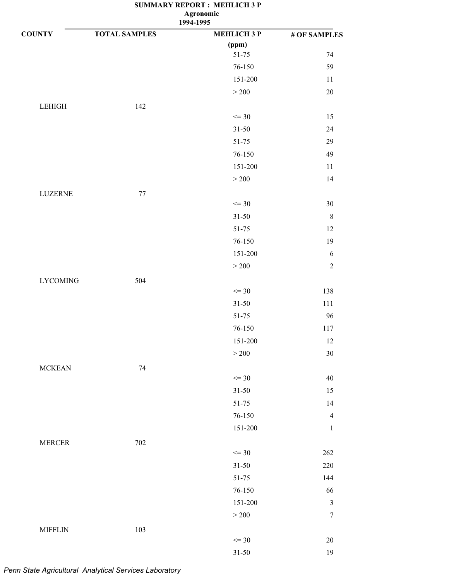**1994-1995**

| <b>COUNTY</b>   | <b>TOTAL SAMPLES</b> | <b>MEHLICH 3 P</b> | # OF SAMPLES     |
|-----------------|----------------------|--------------------|------------------|
|                 |                      | (ppm)              |                  |
|                 |                      | $51 - 75$          | 74               |
|                 |                      | 76-150             | 59               |
|                 |                      | 151-200            | 11               |
|                 |                      | $>200$             | $20\,$           |
| LEHIGH          | 142                  |                    |                  |
|                 |                      | $\leq$ 30          | 15               |
|                 |                      | $31 - 50$          | 24               |
|                 |                      | $51 - 75$          | 29               |
|                 |                      | $76 - 150$         | 49               |
|                 |                      | 151-200            | $11\,$           |
|                 |                      | $>200$             | 14               |
| LUZERNE         | 77                   |                    |                  |
|                 |                      | $\leq$ 30          | $30\,$           |
|                 |                      | $31 - 50$          | $\,8\,$          |
|                 |                      | $51 - 75$          | $12\,$           |
|                 |                      | 76-150             | 19               |
|                 |                      | 151-200            | $\sqrt{6}$       |
|                 |                      | $>200$             | $\sqrt{2}$       |
| <b>LYCOMING</b> | 504                  |                    |                  |
|                 |                      | $\leq$ 30          | 138              |
|                 |                      | $31 - 50$          | 111              |
|                 |                      | 51-75              | 96               |
|                 |                      | $76 - 150$         | 117              |
|                 |                      | 151-200            | 12               |
|                 |                      | >200               | 30               |
| <b>MCKEAN</b>   | 74                   |                    |                  |
|                 |                      | $\leq$ 30          | $40\,$           |
|                 |                      | $31 - 50$          | 15               |
|                 |                      | 51-75              | 14               |
|                 |                      | $76 - 150$         | $\overline{4}$   |
|                 |                      | 151-200            | $\mathbf{1}$     |
| <b>MERCER</b>   | 702                  |                    |                  |
|                 |                      | $\leq$ 30          | 262              |
|                 |                      | $31 - 50$          | 220              |
|                 |                      | $51 - 75$          | 144              |
|                 |                      | 76-150             | 66               |
|                 |                      | 151-200            | $\mathfrak z$    |
|                 |                      | $>200$             | $\boldsymbol{7}$ |
| <b>MIFFLIN</b>  | 103                  |                    |                  |
|                 |                      | $\leq$ 30          | $20\,$           |
|                 |                      | $31 - 50$          | 19               |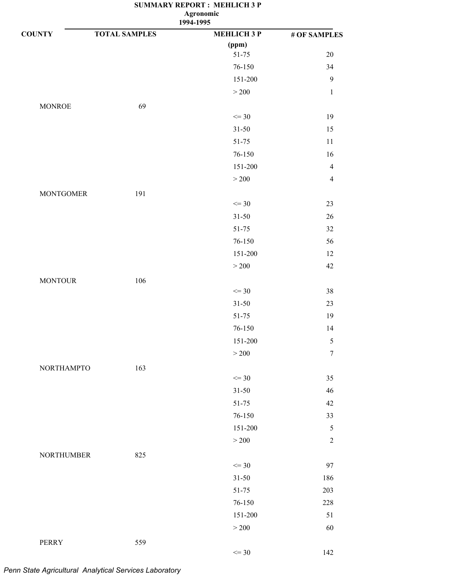**1994-1995 Agronomic**

| <b>COUNTY</b>     | <b>TOTAL SAMPLES</b> | <b>MEHLICH 3 P</b> | # OF SAMPLES   |
|-------------------|----------------------|--------------------|----------------|
|                   |                      | (ppm)              |                |
|                   |                      | 51-75              | $20\,$         |
|                   |                      | 76-150             | 34             |
|                   |                      | 151-200            | $\mathbf{9}$   |
|                   |                      | $>200\,$           | $\,1\,$        |
| <b>MONROE</b>     | 69                   |                    |                |
|                   |                      | $\leq$ 30          | 19             |
|                   |                      | $31 - 50$          | 15             |
|                   |                      | 51-75              | $11\,$         |
|                   |                      | 76-150             | 16             |
|                   |                      | 151-200            | $\overline{4}$ |
|                   |                      | $>200\,$           | $\overline{4}$ |
| <b>MONTGOMER</b>  | 191                  |                    |                |
|                   |                      | $\leq$ 30          | $23\,$         |
|                   |                      | $31 - 50$          | $26\,$         |
|                   |                      | $51 - 75$          | $32\,$         |
|                   |                      | 76-150             | 56             |
|                   |                      | 151-200            | 12             |
|                   |                      | $>200\,$           | $42\,$         |
| <b>MONTOUR</b>    | 106                  |                    |                |
|                   |                      | $\leq$ 30          | 38             |
|                   |                      | $31 - 50$          | 23             |
|                   |                      | 51-75              | 19             |
|                   |                      | 76-150             | 14             |
|                   |                      | 151-200            | 5              |
|                   |                      | >200               | $\tau$         |
| <b>NORTHAMPTO</b> | 163                  |                    |                |
|                   |                      | $\leq$ 30          | 35             |
|                   |                      | $31 - 50$          | $46\,$         |
|                   |                      | 51-75              | $42\,$         |
|                   |                      | 76-150             | 33             |
|                   |                      | 151-200            | $\sqrt{5}$     |
|                   |                      | $>200\,$           | $\sqrt{2}$     |
| <b>NORTHUMBER</b> | 825                  |                    |                |
|                   |                      | $\leq$ 30          | 97             |
|                   |                      | $31 - 50$          | 186            |
|                   |                      | $51 - 75$          | 203            |
|                   |                      | 76-150             | 228            |
|                   |                      | 151-200            | 51             |
|                   |                      | $>200$             | 60             |
| PERRY             | 559                  |                    |                |
|                   |                      | $\leq$ 30          | 142            |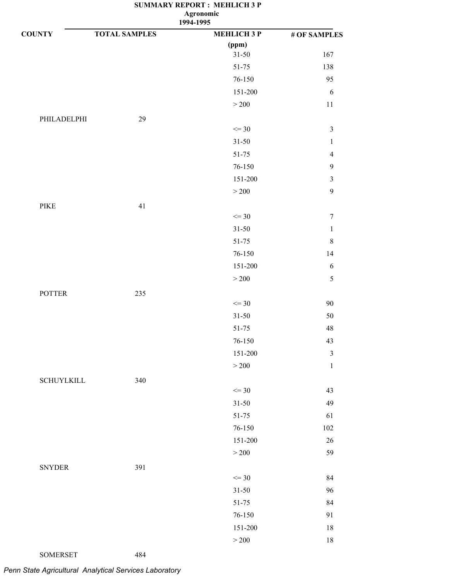**1994-1995**

| <b>COUNTY</b>                | <b>TOTAL SAMPLES</b> | <b>MEHLICH 3 P</b> | # OF SAMPLES     |
|------------------------------|----------------------|--------------------|------------------|
|                              |                      | (ppm)              |                  |
|                              |                      | $31 - 50$          | 167              |
|                              |                      | 51-75              | 138              |
|                              |                      | 76-150             | 95               |
|                              |                      | 151-200            | $\sqrt{6}$       |
|                              |                      | $>200\,$           | $11\,$           |
| PHILADELPHI                  | 29                   |                    |                  |
|                              |                      | $\leq$ 30          | $\mathfrak{Z}$   |
|                              |                      | $31 - 50$          | $\mathbf 1$      |
|                              |                      | $51 - 75$          | $\overline{4}$   |
|                              |                      | 76-150             | $\boldsymbol{9}$ |
|                              |                      | 151-200            | $\sqrt{3}$       |
|                              |                      | $>200$             | $\boldsymbol{9}$ |
| $\ensuremath{\mathsf{PIKE}}$ | 41                   |                    |                  |
|                              |                      | $\leq$ 30          | $\boldsymbol{7}$ |
|                              |                      | $31 - 50$          | $\,1\,$          |
|                              |                      | 51-75              | $\,$ 8 $\,$      |
|                              |                      | $76 - 150$         | 14               |
|                              |                      | 151-200            | 6                |
|                              |                      | $>200\,$           | $\sqrt{5}$       |
| <b>POTTER</b>                | 235                  |                    |                  |
|                              |                      | $\leq$ 30          | 90               |
|                              |                      | $31 - 50$          | 50               |
|                              |                      | $51 - 75$          | $\sqrt{48}$      |
|                              |                      | 76-150             | 43               |
|                              |                      | 151-200            | $\mathfrak{Z}$   |
|                              |                      | $>200$             | $\mathbf 1$      |
| <b>SCHUYLKILL</b>            | 340                  |                    |                  |
|                              |                      | $\leq$ 30          | 43               |
|                              |                      | $31 - 50$          | 49               |
|                              |                      | $51 - 75$          | 61               |
|                              |                      | 76-150             | $102\,$          |
|                              |                      | 151-200            | $26\,$           |
|                              |                      | $>200\,$           | 59               |
| <b>SNYDER</b>                | 391                  |                    |                  |
|                              |                      | $\leq$ 30          | 84               |
|                              |                      | $31 - 50$          | 96               |
|                              |                      | $51 - 75$          | 84               |
|                              |                      | 76-150             | 91               |
|                              |                      | 151-200            | 18               |
|                              |                      | $\geq 200$         | $18\,$           |
|                              |                      |                    |                  |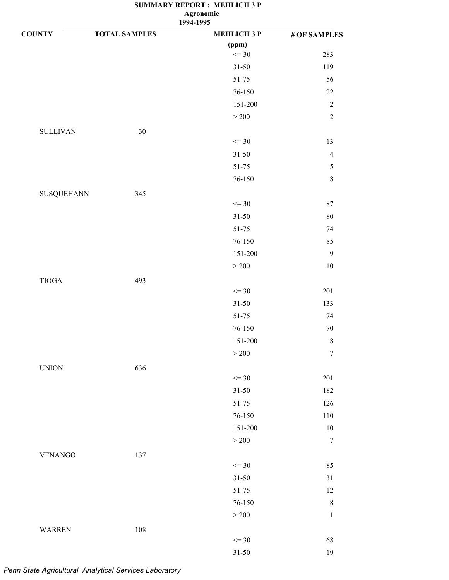**1994-1995**

| <b>COUNTY</b>                 | <b>TOTAL SAMPLES</b> | <b>MEHLICH 3 P</b> | # OF SAMPLES     |
|-------------------------------|----------------------|--------------------|------------------|
|                               |                      | (ppm)              |                  |
|                               |                      | $\leq$ 30          | 283              |
|                               |                      | $31 - 50$          | 119              |
|                               |                      | $51 - 75$          | 56               |
|                               |                      | 76-150             | $22\,$           |
|                               |                      | $151 - 200$        | $\sqrt{2}$       |
|                               |                      | $>200\,$           | $\sqrt{2}$       |
| <b>SULLIVAN</b>               | $30\,$               |                    |                  |
|                               |                      | $\leq$ 30          | 13               |
|                               |                      | $31 - 50$          | $\overline{4}$   |
|                               |                      | $51 - 75$          | $\sqrt{5}$       |
|                               |                      | 76-150             | $\,$ $\,$        |
| SUSQUEHANN                    | 345                  |                    |                  |
|                               |                      | $\leq$ 30          | $87\,$           |
|                               |                      | $31 - 50$          | $80\,$           |
|                               |                      | $51 - 75$          | 74               |
|                               |                      | 76-150             | 85               |
|                               |                      | $151 - 200$        | $\mathbf{9}$     |
|                               |                      | $>200\,$           | $10\,$           |
| $\tt TIOGA$                   | 493                  |                    |                  |
|                               |                      | $\leq$ 30          | 201              |
|                               |                      | $31 - 50$          | 133              |
|                               |                      | $51 - 75$          | 74               |
|                               |                      | 76-150             | $70\,$           |
|                               |                      | 151-200            | $\,$ $\,$        |
|                               |                      | >200               | $\overline{7}$   |
| $\ensuremath{\mathrm{UNION}}$ | 636                  |                    |                  |
|                               |                      | $\leq$ 30          | 201              |
|                               |                      | $31 - 50$          | 182              |
|                               |                      | 51-75              | 126              |
|                               |                      | 76-150             | $110\,$          |
|                               |                      | 151-200            | $10\,$           |
|                               |                      | $>200$             | $\boldsymbol{7}$ |
| <b>VENANGO</b>                | 137                  |                    |                  |
|                               |                      | $\leq$ 30          | 85               |
|                               |                      | $31 - 50$          | $31\,$           |
|                               |                      | $51 - 75$          | 12               |
|                               |                      | 76-150             | $\,8\,$          |
|                               |                      | $>200\,$           | $\mathbf{1}$     |
| <b>WARREN</b>                 | 108                  |                    |                  |
|                               |                      | $\leq$ 30          | 68               |
|                               |                      | $31 - 50$          | 19               |